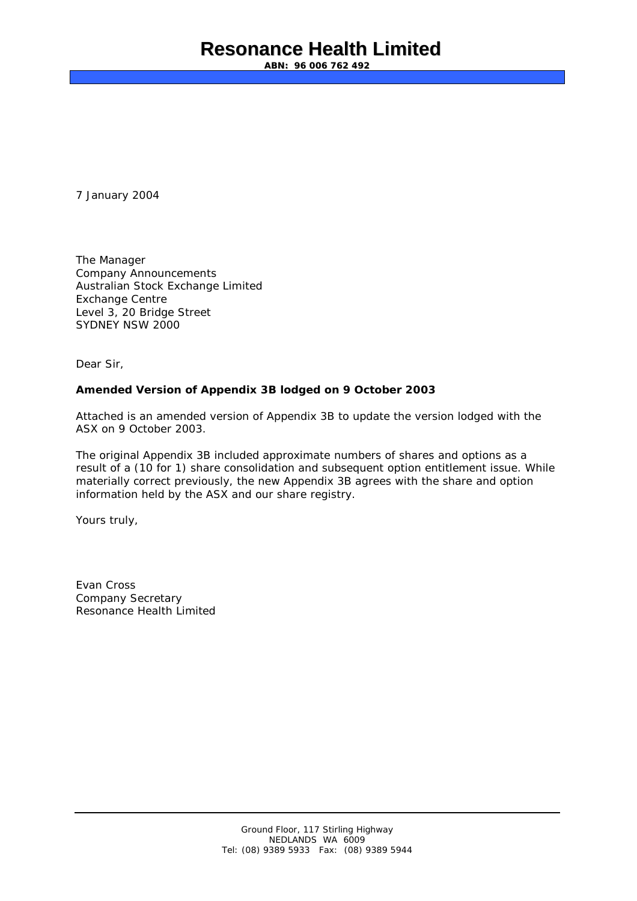## **Resonance Health Limited**

**ABN: 96 006 762 492**

7 January 2004

The Manager Company Announcements Australian Stock Exchange Limited Exchange Centre Level 3, 20 Bridge Street SYDNEY NSW 2000

Dear Sir,

#### **Amended Version of Appendix 3B lodged on 9 October 2003**

Attached is an amended version of Appendix 3B to update the version lodged with the ASX on 9 October 2003.

The original Appendix 3B included approximate numbers of shares and options as a result of a (10 for 1) share consolidation and subsequent option entitlement issue. While materially correct previously, the new Appendix 3B agrees with the share and option information held by the ASX and our share registry.

Yours truly,

Evan Cross Company Secretary Resonance Health Limited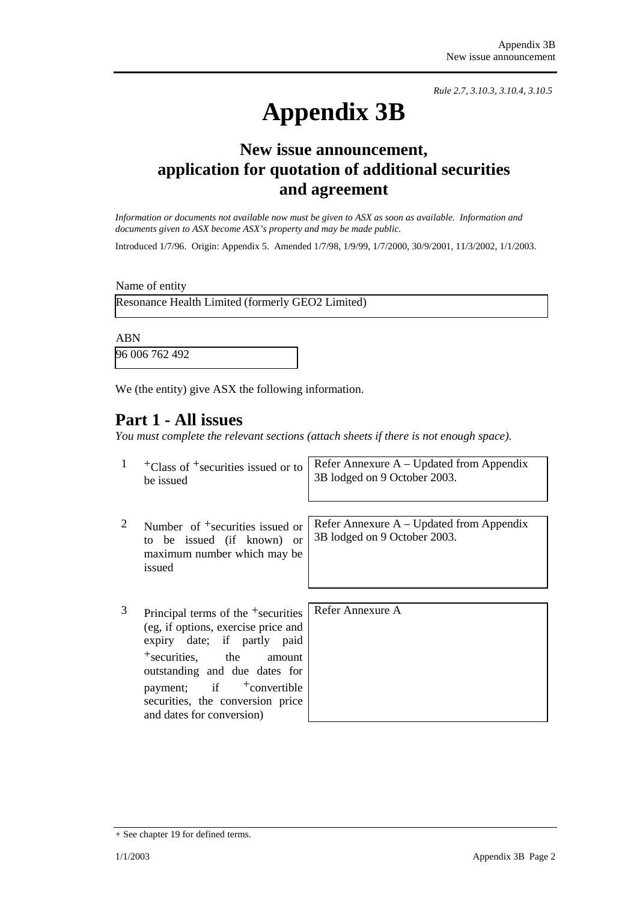*Rule 2.7, 3.10.3, 3.10.4, 3.10.5*

# **Appendix 3B**

## **New issue announcement, application for quotation of additional securities and agreement**

*Information or documents not available now must be given to ASX as soon as available. Information and documents given to ASX become ASX's property and may be made public.* 

Introduced 1/7/96. Origin: Appendix 5. Amended 1/7/98, 1/9/99, 1/7/2000, 30/9/2001, 11/3/2002, 1/1/2003.

Name of entity

Resonance Health Limited (formerly GEO2 Limited)

ABN

96 006 762 492

We (the entity) give ASX the following information.

## **Part 1 - All issues**

*You must complete the relevant sections (attach sheets if there is not enough space).*

| 1 | $\pm$ Class of $\pm$ securities issued or to<br>be issued                                                                                                   | Refer Annexure $A - Updated$ from Appendix<br>3B lodged on 9 October 2003.  |
|---|-------------------------------------------------------------------------------------------------------------------------------------------------------------|-----------------------------------------------------------------------------|
| 2 | Number of $\pm$ securities issued or<br>to be issued (if known) or<br>maximum number which may be<br>issued                                                 | Refer Annexure $A - U$ pdated from Appendix<br>3B lodged on 9 October 2003. |
| 3 | Principal terms of the <sup>+</sup> securities<br>(eg, if options, exercise price and<br>expiry date; if partly<br>paid<br>$+$ securities,<br>the<br>amount | Refer Annexure A                                                            |

+ See chapter 19 for defined terms.

outstanding and due dates for payment; if  $+$ convertible securities, the conversion price

and dates for conversion)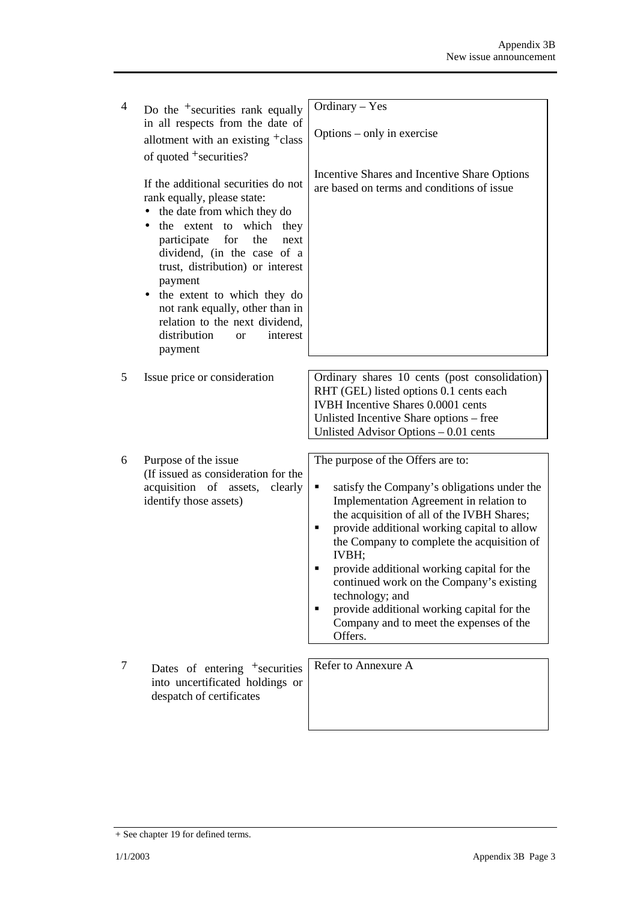| $\overline{4}$ | Do the $\pm$ securities rank equally                                                                                                                                                                                                                                                                                                                                                                           | Ordinary - Yes                                                                                                                                                                                                                                                                                                                                                                                                                                                                                             |  |
|----------------|----------------------------------------------------------------------------------------------------------------------------------------------------------------------------------------------------------------------------------------------------------------------------------------------------------------------------------------------------------------------------------------------------------------|------------------------------------------------------------------------------------------------------------------------------------------------------------------------------------------------------------------------------------------------------------------------------------------------------------------------------------------------------------------------------------------------------------------------------------------------------------------------------------------------------------|--|
|                | in all respects from the date of                                                                                                                                                                                                                                                                                                                                                                               |                                                                                                                                                                                                                                                                                                                                                                                                                                                                                                            |  |
|                | allotment with an existing <sup>+</sup> class                                                                                                                                                                                                                                                                                                                                                                  | Options – only in exercise                                                                                                                                                                                                                                                                                                                                                                                                                                                                                 |  |
|                | of quoted $+$ securities?                                                                                                                                                                                                                                                                                                                                                                                      |                                                                                                                                                                                                                                                                                                                                                                                                                                                                                                            |  |
|                | If the additional securities do not<br>rank equally, please state:<br>the date from which they do<br>the extent to which they<br>participate<br>for<br>the<br>next<br>dividend, (in the case of a<br>trust, distribution) or interest<br>payment<br>• the extent to which they do<br>not rank equally, other than in<br>relation to the next dividend,<br>distribution<br>interest<br><sub>or</sub><br>payment | Incentive Shares and Incentive Share Options<br>are based on terms and conditions of issue                                                                                                                                                                                                                                                                                                                                                                                                                 |  |
|                |                                                                                                                                                                                                                                                                                                                                                                                                                |                                                                                                                                                                                                                                                                                                                                                                                                                                                                                                            |  |
| 5              | Issue price or consideration                                                                                                                                                                                                                                                                                                                                                                                   | Ordinary shares 10 cents (post consolidation)<br>RHT (GEL) listed options 0.1 cents each<br>IVBH Incentive Shares 0.0001 cents<br>Unlisted Incentive Share options – free<br>Unlisted Advisor Options - 0.01 cents                                                                                                                                                                                                                                                                                         |  |
|                |                                                                                                                                                                                                                                                                                                                                                                                                                |                                                                                                                                                                                                                                                                                                                                                                                                                                                                                                            |  |
| 6              | Purpose of the issue<br>(If issued as consideration for the<br>acquisition of assets, clearly<br>identify those assets)                                                                                                                                                                                                                                                                                        | The purpose of the Offers are to:<br>satisfy the Company's obligations under the<br>٠<br>Implementation Agreement in relation to<br>the acquisition of all of the IVBH Shares;<br>provide additional working capital to allow<br>٠<br>the Company to complete the acquisition of<br>IVBH;<br>provide additional working capital for the<br>continued work on the Company's existing<br>technology; and<br>provide additional working capital for the<br>Company and to meet the expenses of the<br>Offers. |  |
| 7              | Dates of entering <sup>+</sup> securities<br>into uncertificated holdings or<br>despatch of certificates                                                                                                                                                                                                                                                                                                       | Refer to Annexure A                                                                                                                                                                                                                                                                                                                                                                                                                                                                                        |  |

<sup>+</sup> See chapter 19 for defined terms.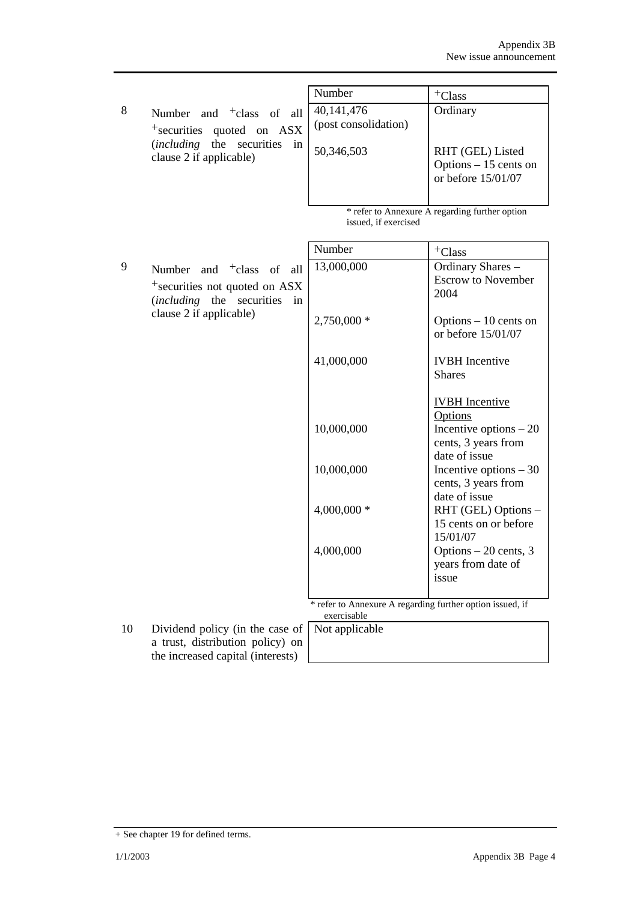|                                                                                                                                                           | Number                                           | <sup>+</sup> Class                                                           |
|-----------------------------------------------------------------------------------------------------------------------------------------------------------|--------------------------------------------------|------------------------------------------------------------------------------|
| -8<br>Number and <sup>+</sup> class of all<br><sup>+</sup> securities quoted on ASX<br>in<br><i>(including the securities)</i><br>clause 2 if applicable) | 40,141,476<br>(post consolidation)<br>50,346,503 | Ordinary<br>RHT (GEL) Listed<br>Options $-15$ cents on<br>or before 15/01/07 |
|                                                                                                                                                           | issued, if exercised                             | * refer to Annexure A regarding further option                               |

|   |                                           | Number                                                    | $+C$ lass                                    |
|---|-------------------------------------------|-----------------------------------------------------------|----------------------------------------------|
| 9 | Number and $\dagger$ class of<br>all      | 13,000,000                                                | Ordinary Shares -                            |
|   | <sup>+</sup> securities not quoted on ASX |                                                           | <b>Escrow to November</b>                    |
|   | (including the securities<br>in           |                                                           | 2004                                         |
|   | clause 2 if applicable)                   | 2,750,000 *                                               | Options $-10$ cents on<br>or before 15/01/07 |
|   |                                           | 41,000,000                                                | <b>IVBH</b> Incentive                        |
|   |                                           |                                                           | <b>Shares</b>                                |
|   |                                           |                                                           |                                              |
|   |                                           |                                                           | <b>IVBH</b> Incentive                        |
|   |                                           |                                                           | <b>Options</b>                               |
|   |                                           | 10,000,000                                                | Incentive options $-20$                      |
|   |                                           |                                                           | cents, 3 years from<br>date of issue         |
|   |                                           | 10,000,000                                                | Incentive options $-30$                      |
|   |                                           |                                                           | cents, 3 years from                          |
|   |                                           |                                                           | date of issue                                |
|   |                                           | 4,000,000 *                                               | RHT (GEL) Options -                          |
|   |                                           |                                                           | 15 cents on or before                        |
|   |                                           |                                                           | 15/01/07                                     |
|   |                                           | 4,000,000                                                 | Options - 20 cents, 3                        |
|   |                                           |                                                           | years from date of<br>issue                  |
|   |                                           |                                                           |                                              |
|   |                                           | * refer to Annexure A regarding further option issued, if |                                              |
|   |                                           | exercisable                                               |                                              |

10 Dividend policy (in the case of a trust, distribution policy) on the increased capital (interests)

Not applicable

<sup>+</sup> See chapter 19 for defined terms.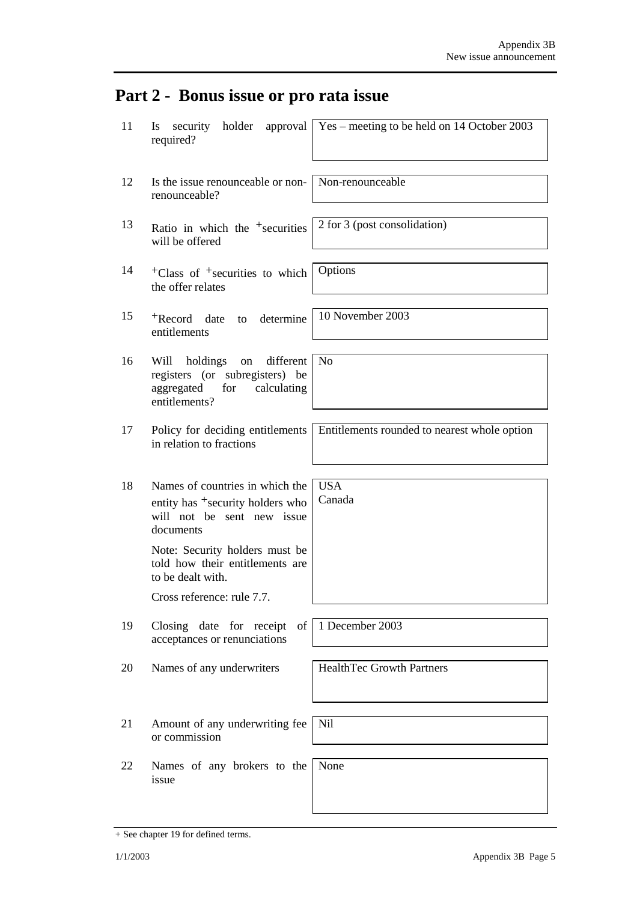# **Part 2 - Bonus issue or pro rata issue**

| 11 | holder<br>security<br>approval<br>Is<br>required?                                                                          | Yes – meeting to be held on 14 October 2003  |
|----|----------------------------------------------------------------------------------------------------------------------------|----------------------------------------------|
| 12 | Is the issue renounceable or non-<br>renounceable?                                                                         | Non-renounceable                             |
| 13 | Ratio in which the $+$ securities<br>will be offered                                                                       | 2 for 3 (post consolidation)                 |
| 14 | $+C$ lass of $+$ securities to which<br>the offer relates                                                                  | Options                                      |
| 15 | +Record date<br>determine<br>to<br>entitlements                                                                            | 10 November 2003                             |
| 16 | Will<br>holdings<br>different<br>on<br>registers (or subregisters) be<br>aggregated<br>for<br>calculating<br>entitlements? | N <sub>0</sub>                               |
| 17 | Policy for deciding entitlements<br>in relation to fractions                                                               | Entitlements rounded to nearest whole option |
| 18 | Names of countries in which the<br>entity has <sup>+</sup> security holders who<br>will not be sent new issue<br>documents | <b>USA</b><br>Canada                         |
|    | Note: Security holders must be<br>told how their entitlements are<br>to be dealt with.                                     |                                              |
|    | Cross reference: rule 7.7.                                                                                                 |                                              |
| 19 | Closing date for receipt<br>of<br>acceptances or renunciations                                                             | 1 December 2003                              |
| 20 | Names of any underwriters                                                                                                  | <b>HealthTec Growth Partners</b>             |
| 21 | Amount of any underwriting fee<br>or commission                                                                            | Nil                                          |
| 22 | Names of any brokers to the<br>issue                                                                                       | None                                         |

 $\mathsf{l}$ 

<sup>+</sup> See chapter 19 for defined terms.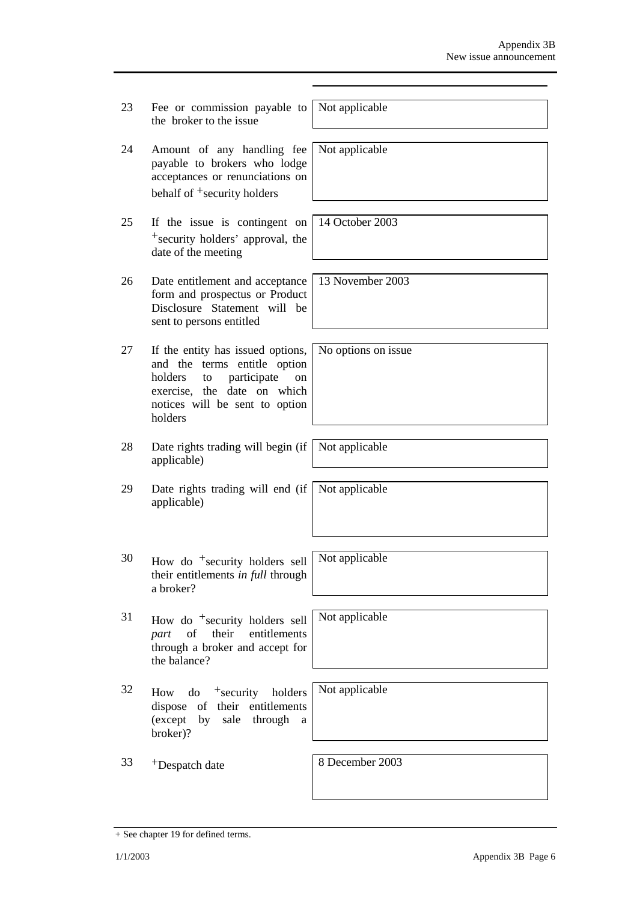| 23 | Fee or commission payable to<br>the broker to the issue                                                                                                                             | Not applicable      |
|----|-------------------------------------------------------------------------------------------------------------------------------------------------------------------------------------|---------------------|
| 24 | Amount of any handling fee<br>payable to brokers who lodge<br>acceptances or renunciations on<br>behalf of <sup>+</sup> security holders                                            | Not applicable      |
| 25 | If the issue is contingent on<br><sup>+</sup> security holders' approval, the<br>date of the meeting                                                                                | 14 October 2003     |
| 26 | Date entitlement and acceptance<br>form and prospectus or Product<br>Disclosure Statement will be<br>sent to persons entitled                                                       | 13 November 2003    |
| 27 | If the entity has issued options,<br>and the terms entitle option<br>participate<br>holders<br>to<br>on<br>exercise, the date on which<br>notices will be sent to option<br>holders | No options on issue |
| 28 | Date rights trading will begin (if<br>applicable)                                                                                                                                   | Not applicable      |
| 29 | Date rights trading will end (if<br>applicable)                                                                                                                                     | Not applicable      |
| 30 | How do <sup>+</sup> security holders sell<br>their entitlements in full through<br>a broker?                                                                                        | Not applicable      |
| 31 | How do <sup>+</sup> security holders sell<br>their<br>entitlements<br>of<br>part<br>through a broker and accept for<br>the balance?                                                 | Not applicable      |
| 32 | $\mu$ do $\tau$ + security<br>holders<br>How<br>of their entitlements<br>dispose<br>(except<br>by<br>sale through<br>a<br>broker)?                                                  | Not applicable      |
| 33 | <sup>+</sup> Despatch date                                                                                                                                                          | 8 December 2003     |

<sup>+</sup> See chapter 19 for defined terms.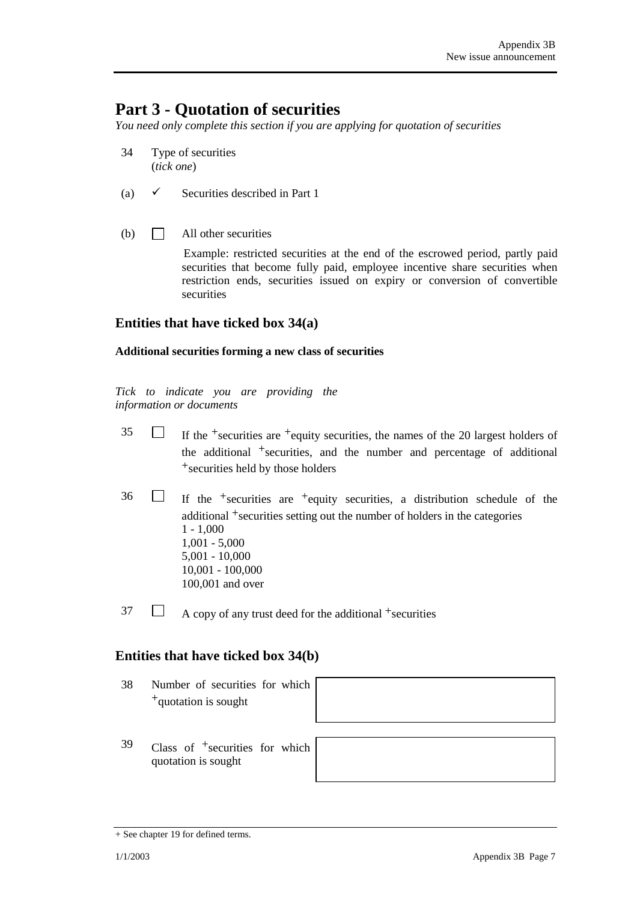## **Part 3 - Quotation of securities**

*You need only complete this section if you are applying for quotation of securities* 

- 34 Type of securities (*tick one*)
- (a)  $\checkmark$  Securities described in Part 1
- (b)  $\Box$  All other securities

Example: restricted securities at the end of the escrowed period, partly paid securities that become fully paid, employee incentive share securities when restriction ends, securities issued on expiry or conversion of convertible securities

## **Entities that have ticked box 34(a)**

#### **Additional securities forming a new class of securities**

*Tick to indicate you are providing the information or documents*

- $35$  If the +securities are +equity securities, the names of the 20 largest holders of the additional  $+$ securities, and the number and percentage of additional +securities held by those holders
- $36$  If the <sup>+</sup>securities are <sup>+</sup>equity securities, a distribution schedule of the additional +securities setting out the number of holders in the categories 1 - 1,000 1,001 - 5,000 5,001 - 10,000 10,001 - 100,000 100,001 and over
- $37 \Box$  A copy of any trust deed for the additional +securities

## **Entities that have ticked box 34(b)**

38 Number of securities for which +quotation is sought



39 Class of +securities for which quotation is sought



<sup>+</sup> See chapter 19 for defined terms.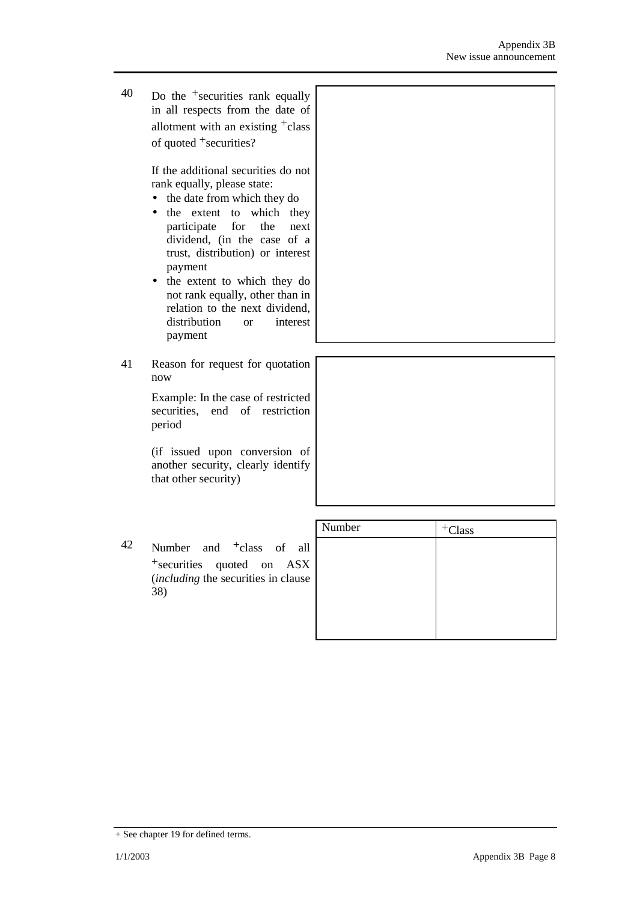40 Do the +securities rank equally in all respects from the date of allotment with an existing +class of quoted +securities?

> If the additional securities do not rank equally, please state:

- the date from which they do
- the extent to which they participate for the next dividend, (in the case of a trust, distribution) or interest payment
- the extent to which they do not rank equally, other than in relation to the next dividend, distribution or interest payment
- 41 Reason for request for quotation now

Example: In the case of restricted securities, end of restriction period

(if issued upon conversion of another security, clearly identify that other security)

|                                                                                             | Number | $+C$ lass |
|---------------------------------------------------------------------------------------------|--------|-----------|
| 42<br>Number and $\dagger$ class of all                                                     |        |           |
| <sup>+</sup> securities quoted on ASX<br><i>(including the securities in clause)</i><br>38) |        |           |
|                                                                                             |        |           |

<sup>+</sup> See chapter 19 for defined terms.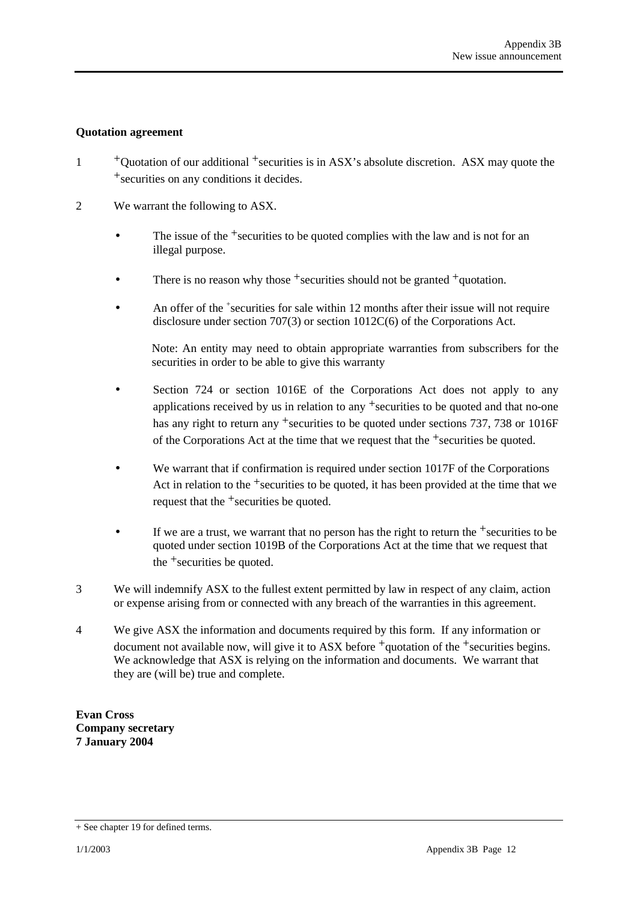### **Quotation agreement**

- <sup>+</sup>Ouotation of our additional <sup>+</sup>securities is in ASX's absolute discretion. ASX may quote the +securities on any conditions it decides.
- 2 We warrant the following to ASX.
	- The issue of the  $+$ securities to be quoted complies with the law and is not for an illegal purpose.
	- There is no reason why those  $+$ securities should not be granted  $+$ quotation.
	- An offer of the <sup>+</sup>securities for sale within 12 months after their issue will not require disclosure under section 707(3) or section 1012C(6) of the Corporations Act.

Note: An entity may need to obtain appropriate warranties from subscribers for the securities in order to be able to give this warranty

- Section 724 or section 1016E of the Corporations Act does not apply to any applications received by us in relation to any +securities to be quoted and that no-one has any right to return any <sup>+</sup>securities to be quoted under sections 737, 738 or 1016F of the Corporations Act at the time that we request that the  $+$ securities be quoted.
- We warrant that if confirmation is required under section 1017F of the Corporations Act in relation to the  $+$ securities to be quoted, it has been provided at the time that we request that the <sup>+</sup>securities be quoted.
- If we are a trust, we warrant that no person has the right to return the  $+$ securities to be quoted under section 1019B of the Corporations Act at the time that we request that the +securities be quoted.
- 3 We will indemnify ASX to the fullest extent permitted by law in respect of any claim, action or expense arising from or connected with any breach of the warranties in this agreement.
- 4 We give ASX the information and documents required by this form. If any information or document not available now, will give it to ASX before <sup>+</sup>quotation of the <sup>+</sup>securities begins. We acknowledge that ASX is relying on the information and documents. We warrant that they are (will be) true and complete.

**Evan Cross Company secretary 7 January 2004** 

<sup>+</sup> See chapter 19 for defined terms.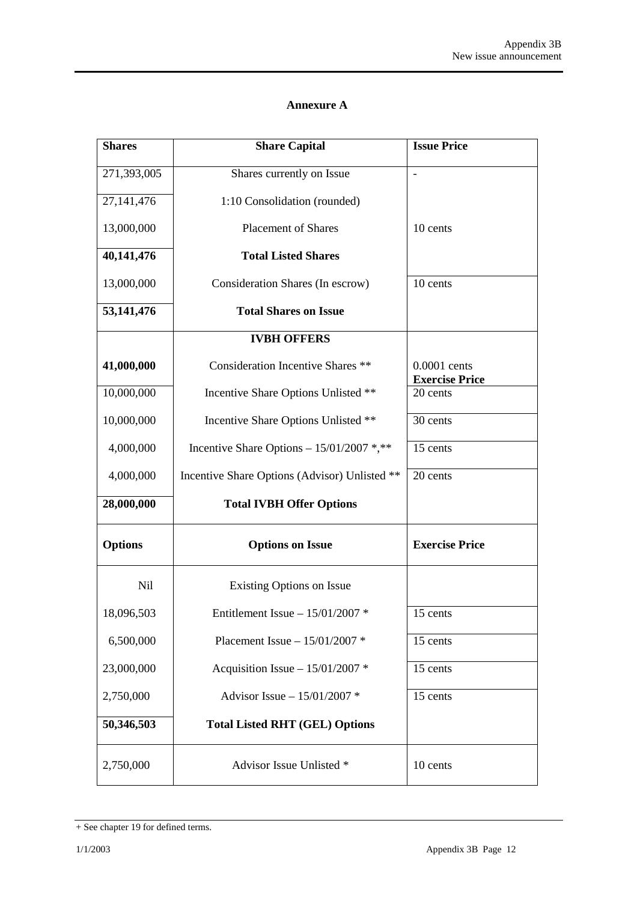#### **Annexure A**

| <b>Shares</b>  | <b>Share Capital</b>                          | <b>Issue Price</b>                    |
|----------------|-----------------------------------------------|---------------------------------------|
| 271,393,005    | Shares currently on Issue                     |                                       |
| 27,141,476     | 1:10 Consolidation (rounded)                  |                                       |
| 13,000,000     | <b>Placement of Shares</b>                    | 10 cents                              |
| 40,141,476     | <b>Total Listed Shares</b>                    |                                       |
| 13,000,000     | Consideration Shares (In escrow)              | 10 cents                              |
| 53, 141, 476   | <b>Total Shares on Issue</b>                  |                                       |
|                | <b>IVBH OFFERS</b>                            |                                       |
| 41,000,000     | <b>Consideration Incentive Shares **</b>      | 0.0001 cents<br><b>Exercise Price</b> |
| 10,000,000     | Incentive Share Options Unlisted **           | 20 cents                              |
| 10,000,000     | Incentive Share Options Unlisted **           | 30 cents                              |
| 4,000,000      | Incentive Share Options - 15/01/2007 *,**     | 15 cents                              |
| 4,000,000      | Incentive Share Options (Advisor) Unlisted ** | 20 cents                              |
| 28,000,000     | <b>Total IVBH Offer Options</b>               |                                       |
| <b>Options</b> | <b>Options on Issue</b>                       | <b>Exercise Price</b>                 |
| <b>Nil</b>     | Existing Options on Issue                     |                                       |
| 18,096,503     | Entitlement Issue $-15/01/2007$ *             | 15 cents                              |
| 6,500,000      | Placement Issue $- 15/01/2007$ *              | 15 cents                              |
| 23,000,000     | Acquisition Issue - $15/01/2007$ *            | 15 cents                              |
| 2,750,000      | Advisor Issue - 15/01/2007 *                  | 15 cents                              |
| 50,346,503     | <b>Total Listed RHT (GEL) Options</b>         |                                       |
| 2,750,000      | Advisor Issue Unlisted *                      | 10 cents                              |

<sup>+</sup> See chapter 19 for defined terms.